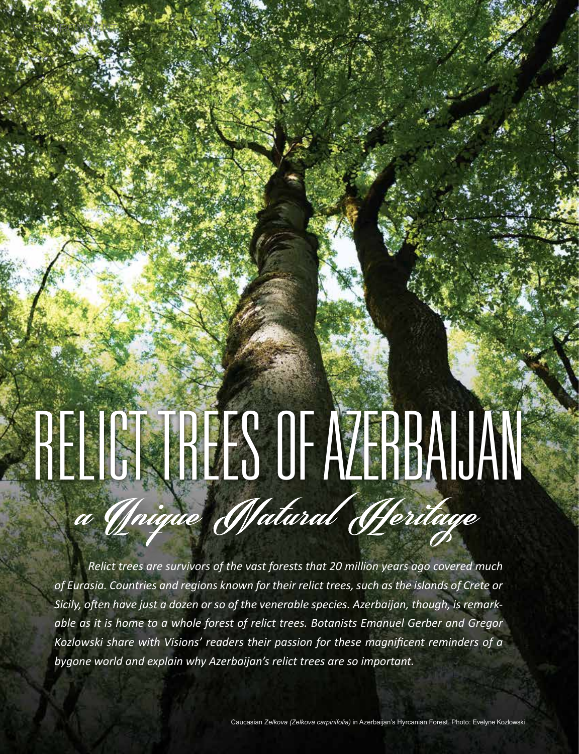# RELICT TREES OF AZERBAIJAN

ENVIRONMENT

*Relict trees are survivors of the vast forests that 20 million years ago covered much of Eurasia. Countries and regions known for their relict trees, such as the islands of Crete or Sicily, often have just a dozen or so of the venerable species. Azerbaijan, though, is remarkable as it is home to a whole forest of relict trees. Botanists Emanuel Gerber and Gregor Kozlowski share with Visions' readers their passion for these magnificent reminders of a bygone world and explain why Azerbaijan's relict trees are so important.*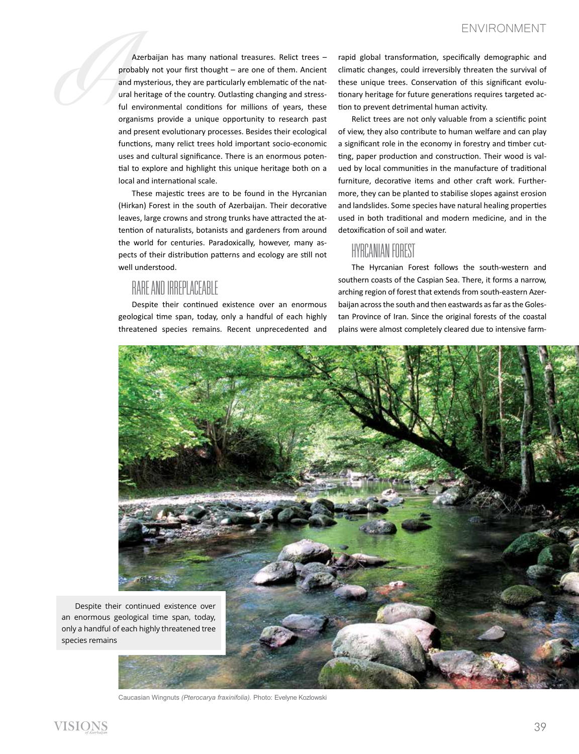ENVIRONMENT<br>
Azerbaijan has many national treasures. Relict trees – rapid global transformation, specifically demographic and<br>
probably not your first thought – are one of them. Ancient climatic changes, could irreversibly Azerbaijan has many national treasures. Relict trees – probably not your first thought – are one of them. Ancient and mysterious, they are particularly emblematic of the natural heritage of the country. Outlasting changing and stressful environmental conditions for millions of years, these organisms provide a unique opportunity to research past and present evolutionary processes. Besides their ecological functions, many relict trees hold important socio-economic uses and cultural significance. There is an enormous potential to explore and highlight this unique heritage both on a local and international scale.

> These majestic trees are to be found in the Hyrcanian (Hirkan) Forest in the south of Azerbaijan. Their decorative leaves, large crowns and strong trunks have attracted the attention of naturalists, botanists and gardeners from around the world for centuries. Paradoxically, however, many aspects of their distribution patterns and ecology are still not well understood.

## RARE AND IRREPLACEARLE

Despite their continued existence over an enormous geological time span, today, only a handful of each highly threatened species remains. Recent unprecedented and rapid global transformation, specifically demographic and climatic changes, could irreversibly threaten the survival of these unique trees. Conservation of this significant evolutionary heritage for future generations requires targeted action to prevent detrimental human activity.

Relict trees are not only valuable from a scientific point of view, they also contribute to human welfare and can play a significant role in the economy in forestry and timber cutting, paper production and construction. Their wood is valued by local communities in the manufacture of traditional furniture, decorative items and other craft work. Furthermore, they can be planted to stabilise slopes against erosion and landslides. Some species have natural healing properties used in both traditional and modern medicine, and in the detoxification of soil and water.

### Hyrcanian Forest

The Hyrcanian Forest follows the south-western and southern coasts of the Caspian Sea. There, it forms a narrow, arching region of forest that extends from south-eastern Azerbaijan across the south and then eastwards as far as the Golestan Province of Iran. Since the original forests of the coastal plains were almost completely cleared due to intensive farm-



Caucasian Wingnuts *(Pterocarya fraxinifolia).* Photo: Evelyne Kozlowski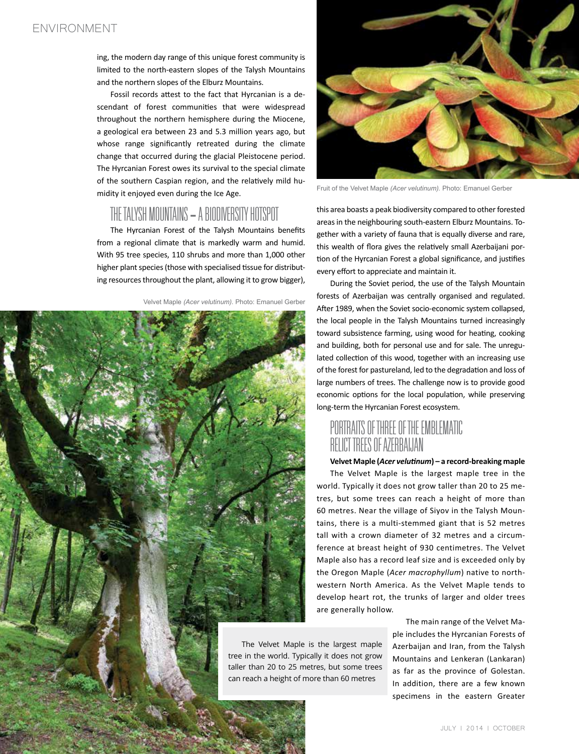ing, the modern day range of this unique forest community is limited to the north-eastern slopes of the Talysh Mountains and the northern slopes of the Elburz Mountains.

Fossil records attest to the fact that Hyrcanian is a descendant of forest communities that were widespread throughout the northern hemisphere during the Miocene, a geological era between 23 and 5.3 million years ago, but whose range significantly retreated during the climate change that occurred during the glacial Pleistocene period. The Hyrcanian Forest owes its survival to the special climate of the southern Caspian region, and the relatively mild humidity it enjoyed even during the Ice Age.

# THE TALYSH MOUNTAINS - A BIODIVERSITY HOTSPOT

The Hyrcanian Forest of the Talysh Mountains benefits from a regional climate that is markedly warm and humid. With 95 tree species, 110 shrubs and more than 1,000 other higher plant species (those with specialised tissue for distributing resources throughout the plant, allowing it to grow bigger),







Fruit of the Velvet Maple *(Acer velutinum).* Photo: Emanuel Gerber

this area boasts a peak biodiversity compared to other forested areas in the neighbouring south-eastern Elburz Mountains. Together with a variety of fauna that is equally diverse and rare, this wealth of flora gives the relatively small Azerbaijani portion of the Hyrcanian Forest a global significance, and justifies every effort to appreciate and maintain it.

During the Soviet period, the use of the Talysh Mountain forests of Azerbaijan was centrally organised and regulated. After 1989, when the Soviet socio-economic system collapsed, the local people in the Talysh Mountains turned increasingly toward subsistence farming, using wood for heating, cooking and building, both for personal use and for sale. The unregulated collection of this wood, together with an increasing use of the forest for pastureland, led to the degradation and loss of large numbers of trees. The challenge now is to provide good economic options for the local population, while preserving long-term the Hyrcanian Forest ecosystem.

## Portraits of Three of the Emblematic Relict Trees of Azerbaijan

#### **Velvet Maple (***Acer velutinum***) – a record-breaking maple**

The Velvet Maple is the largest maple tree in the world. Typically it does not grow taller than 20 to 25 metres, but some trees can reach a height of more than 60 metres. Near the village of Siyov in the Talysh Mountains, there is a multi-stemmed giant that is 52 metres tall with a crown diameter of 32 metres and a circumference at breast height of 930 centimetres. The Velvet Maple also has a record leaf size and is exceeded only by the Oregon Maple (*Acer macrophyllum*) native to northwestern North America. As the Velvet Maple tends to develop heart rot, the trunks of larger and older trees are generally hollow.

The Velvet Maple is the largest maple tree in the world. Typically it does not grow taller than 20 to 25 metres, but some trees can reach a height of more than 60 metres

The main range of the Velvet Maple includes the Hyrcanian Forests of Azerbaijan and Iran, from the Talysh Mountains and Lenkeran (Lankaran) as far as the province of Golestan. In addition, there are a few known specimens in the eastern Greater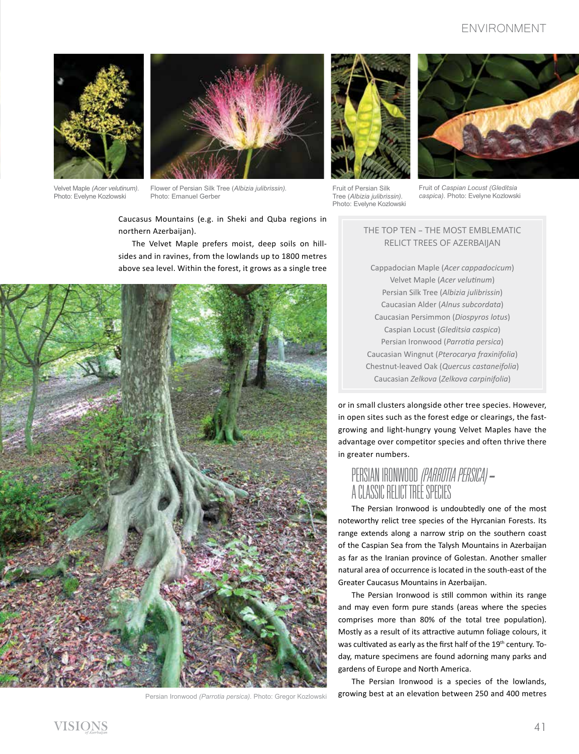#### ENVIRONMENT



Velvet Maple *(Acer velutinum).*  Photo: Evelyne Kozlowski



Flower of Persian Silk Tree (*Albizia julibrissin).*  Photo: Emanuel Gerber



Fruit of Persian Silk Tree (*Albizia julibrissin).*  Photo: Evelyne Kozlowski



Fruit of *Caspian Locust (Gleditsia caspica).* Photo: Evelyne Kozlowski

Caucasus Mountains (e.g. in Sheki and Quba regions in northern Azerbaijan).

The Velvet Maple prefers moist, deep soils on hillsides and in ravines, from the lowlands up to 1800 metres above sea level. Within the forest, it grows as a single tree



Persian Ironwood *(Parrotia persica).* Photo: Gregor Kozlowski

#### The TOP Ten – the most emblematic relict trees of Azerbaijan

Cappadocian Maple (*Acer cappadocicum*) Velvet Maple (*Acer velutinum*) Persian Silk Tree (*Albizia julibrissin*) Caucasian Alder (*Alnus subcordata*) Caucasian Persimmon (*Diospyros lotus*) Caspian Locust (*Gleditsia caspica*) Persian Ironwood (*Parrotia persica*) Caucasian Wingnut (*Pterocarya fraxinifolia*) Chestnut-leaved Oak (*Quercus castaneifolia*) Caucasian *Zelkova* (*Zelkova carpinifolia*)

or in small clusters alongside other tree species. However, in open sites such as the forest edge or clearings, the fastgrowing and light-hungry young Velvet Maples have the advantage over competitor species and often thrive there in greater numbers.

# Persian Ironwood *(Parrotia persica) -* a classic relict tree species

The Persian Ironwood is undoubtedly one of the most noteworthy relict tree species of the Hyrcanian Forests. Its range extends along a narrow strip on the southern coast of the Caspian Sea from the Talysh Mountains in Azerbaijan as far as the Iranian province of Golestan. Another smaller natural area of occurrence is located in the south-east of the Greater Caucasus Mountains in Azerbaijan.

The Persian Ironwood is still common within its range and may even form pure stands (areas where the species comprises more than 80% of the total tree population). Mostly as a result of its attractive autumn foliage colours, it was cultivated as early as the first half of the 19<sup>th</sup> century. Today, mature specimens are found adorning many parks and gardens of Europe and North America.

The Persian Ironwood is a species of the lowlands, growing best at an elevation between 250 and 400 metres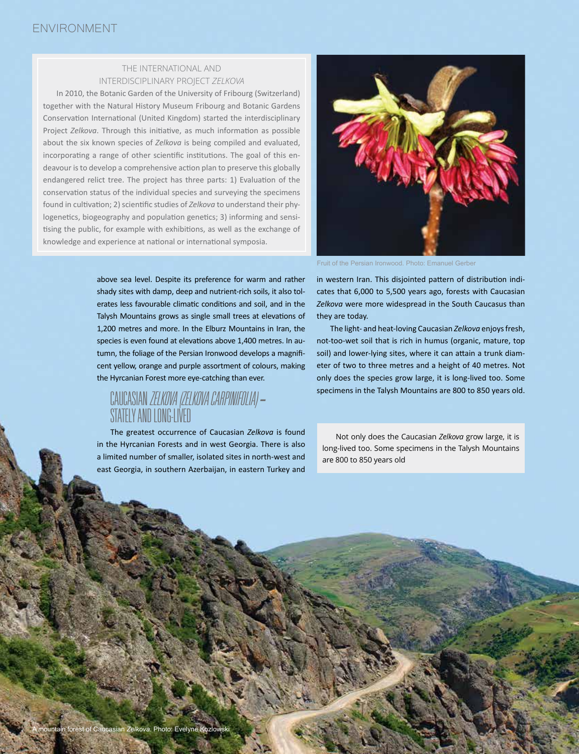#### The international and interdisciplinary Project *Zelkova*

In 2010, the Botanic Garden of the University of Fribourg (Switzerland) together with the Natural History Museum Fribourg and Botanic Gardens Conservation International (United Kingdom) started the interdisciplinary Project *Zelkova*. Through this initiative, as much information as possible about the six known species of *Zelkova* is being compiled and evaluated, incorporating a range of other scientific institutions. The goal of this endeavour is to develop a comprehensive action plan to preserve this globally endangered relict tree. The project has three parts: 1) Evaluation of the conservation status of the individual species and surveying the specimens found in cultivation; 2) scientific studies of *Zelkova* to understand their phylogenetics, biogeography and population genetics; 3) informing and sensitising the public, for example with exhibitions, as well as the exchange of knowledge and experience at national or international symposia.



above sea level. Despite its preference for warm and rather shady sites with damp, deep and nutrient-rich soils, it also tolerates less favourable climatic conditions and soil, and in the Talysh Mountains grows as single small trees at elevations of 1,200 metres and more. In the Elburz Mountains in Iran, the species is even found at elevations above 1,400 metres. In autumn, the foliage of the Persian Ironwood develops a magnificent yellow, orange and purple assortment of colours, making the Hyrcanian Forest more eye-catching than ever.

# Caucasian *Zelkova(Zelkova carpinifolia) -* Stately and long-lived

The greatest occurrence of Caucasian *Zelkova* is found in the Hyrcanian Forests and in west Georgia. There is also a limited number of smaller, isolated sites in north-west and east Georgia, in southern Azerbaijan, in eastern Turkey and

in western Iran. This disjointed pattern of distribution indicates that 6,000 to 5,500 years ago, forests with Caucasian *Zelkova* were more widespread in the South Caucasus than they are today.

The light- and heat-loving Caucasian *Zelkova* enjoys fresh, not-too-wet soil that is rich in humus (organic, mature, top soil) and lower-lying sites, where it can attain a trunk diameter of two to three metres and a height of 40 metres. Not only does the species grow large, it is long-lived too. Some specimens in the Talysh Mountains are 800 to 850 years old.

Not only does the Caucasian *Zelkova* grow large, it is long-lived too. Some specimens in the Talysh Mountains are 800 to 850 years old